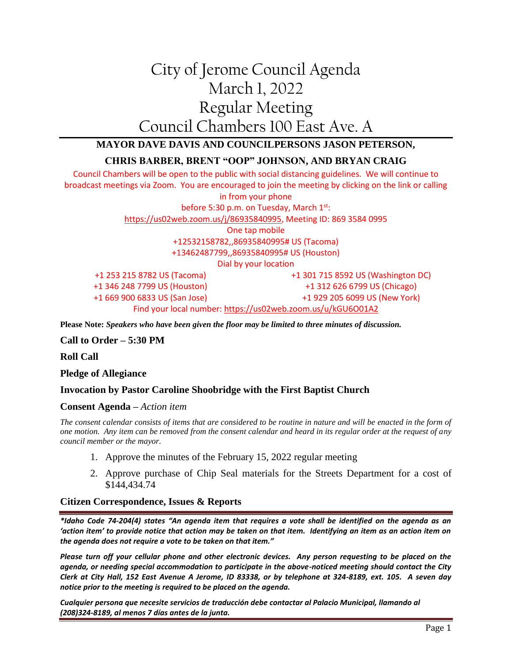# City of Jerome Council Agenda March 1, 2022 Regular Meeting Council Chambers 100 East Ave. A

## **MAYOR DAVE DAVIS AND COUNCILPERSONS JASON PETERSON,**

### **CHRIS BARBER, BRENT "OOP" JOHNSON, AND BRYAN CRAIG**

Council Chambers will be open to the public with social distancing guidelines. We will continue to broadcast meetings via Zoom. You are encouraged to join the meeting by clicking on the link or calling in from your phone before 5:30 p.m. on Tuesday, March 1st: [https://us02web.zoom.us/j/86935840995,](https://us02web.zoom.us/j/86935840995) Meeting ID: 869 3584 0995 One tap mobile +12532158782,,86935840995# US (Tacoma) +13462487799,,86935840995# US (Houston) Dial by your location +1 253 215 8782 US (Tacoma) +1 346 248 7799 US (Houston) +1 669 900 6833 US (San Jose) +1 301 715 8592 US (Washington DC) +1 312 626 6799 US (Chicago) +1 929 205 6099 US (New York) Find your local number:<https://us02web.zoom.us/u/kGU6O01A2>

**Please Note:** *Speakers who have been given the floor may be limited to three minutes of discussion.*

#### **Call to Order – 5:30 PM**

**Roll Call**

**Pledge of Allegiance**

#### **Invocation by Pastor Caroline Shoobridge with the First Baptist Church**

#### **Consent Agenda –** *Action item*

*The consent calendar consists of items that are considered to be routine in nature and will be enacted in the form of one motion. Any item can be removed from the consent calendar and heard in its regular order at the request of any council member or the mayor.*

- 1. Approve the minutes of the February 15, 2022 regular meeting
- 2. Approve purchase of Chip Seal materials for the Streets Department for a cost of \$144,434.74

#### **Citizen Correspondence, Issues & Reports**

*\*Idaho Code 74-204(4) states "An agenda item that requires a vote shall be identified on the agenda as an 'action item' to provide notice that action may be taken on that item. Identifying an item as an action item on the agenda does not require a vote to be taken on that item."*

*Please turn off your cellular phone and other electronic devices. Any person requesting to be placed on the agenda, or needing special accommodation to participate in the above-noticed meeting should contact the City Clerk at City Hall, 152 East Avenue A Jerome, ID 83338, or by telephone at 324-8189, ext. 105. A seven day notice prior to the meeting is required to be placed on the agenda.* 

*Cualquier persona que necesite servicios de traducción debe contactar al Palacio Municipal, llamando al (208)324-8189, al menos 7 días antes de la junta.*